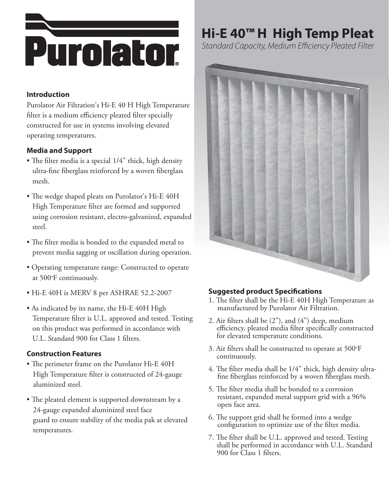

### **Introduction**

Purolator Air Filtration's Hi-E 40 H High Temperature filter is a medium efficiency pleated filter specially constructed for use in systems involving elevated operating temperatures.

### **Media and Support**

- The filter media is a special 1/4" thick, high density ultra-fine fiberglass reinforced by a woven fiberglass mesh.
- The wedge shaped pleats on Purolator's Hi-E 40H High Temperature filter are formed and supported using corrosion resistant, electro-galvanized, expanded steel.
- The filter media is bonded to the expanded metal to prevent media sagging or oscillation during operation.
- Operating temperature range: Constructed to operate at 500°F continuously.
- Hi-E 40H is MERV 8 per ASHRAE 52.2-2007
- As indicated by its name, the Hi-E 40H High Temperature filter is U.L. approved and tested. Testing on this product was performed in accordance with U.L. Standard 900 for Class 1 filters.

### **Construction Features**

- The perimeter frame on the Purolator Hi-E 40H High Temperature filter is constructed of 24-gauge aluminized steel.
- The pleated element is supported downstream by a 24-gauge expanded aluminized steel face guard to ensure stability of the media pak at elevated temperatures.

## **Hi-E 40™ H High Temp Pleat**

Standard Capacity, Medium Efficiency Pleated Filter



### **Suggested product Specifications**

- 1. The filter shall be the Hi-E 40H High Temperature as manufactured by Purolator Air Filtration.
- 2. Air filters shall be (2"), and (4") deep, medium efficiency, pleated media filter specifically constructed for elevated temperature conditions.
- 3. Air filters shall be constructed to operate at 500°F continuously.
- 4. The filter media shall be 1/4" thick, high density ultrafine fiberglass reinforced by a woven fiberglass mesh.
- 5. The filter media shall be bonded to a corrosion resistant, expanded metal support grid with a 96% open face area.
- 6. The support grid shall be formed into a wedge configuration to optimize use of the filter media.
- 7. The filter shall be U.L. approved and tested. Testing shall be performed in accordance with U.L. Standard 900 for Class 1 filters.